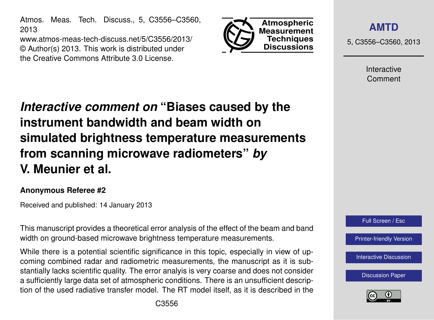Atmos. Meas. Tech. Discuss., 5, C3556–C3560, 2013

www.atmos-meas-tech-discuss.net/5/C3556/2013/ © Author(s) 2013. This work is distributed under the Creative Commons Attribute 3.0 License.



**[AMTD](http://www.atmos-meas-tech-discuss.net)**

5, C3556–C3560, 2013

Interactive Comment

# *Interactive comment on* **"Biases caused by the instrument bandwidth and beam width on simulated brightness temperature measurements from scanning microwave radiometers"** *by* **V. Meunier et al.**

## **Anonymous Referee #2**

Received and published: 14 January 2013

This manuscript provides a theoretical error analysis of the effect of the beam and band width on ground-based microwave brightness temperature measurements.

While there is a potential scientific significance in this topic, especially in view of upcoming combined radar and radiometric measurements, the manuscript as it is substantially lacks scientific quality. The error analyis is very coarse and does not consider a sufficiently large data set of atmospheric conditions. There is an unsufficient description of the used radiative transfer model. The RT model itself, as it is described in the



[Printer-friendly Version](http://www.atmos-meas-tech-discuss.net/5/C3556/2013/amtd-5-C3556-2013-print.pdf)

[Interactive Discussion](http://www.atmos-meas-tech-discuss.net/5/8085/2012/amtd-5-8085-2012-discussion.html)

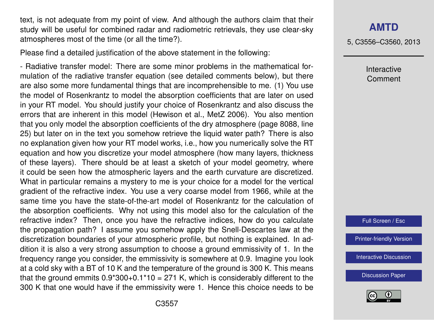text, is not adequate from my point of view. And although the authors claim that their study will be useful for combined radar and radiometric retrievals, they use clear-sky atmospheres most of the time (or all the time?).

Please find a detailed justification of the above statement in the following:

- Radiative transfer model: There are some minor problems in the mathematical formulation of the radiative transfer equation (see detailed comments below), but there are also some more fundamental things that are incomprehensible to me. (1) You use the model of Rosenkrantz to model the absorption coefficients that are later on used in your RT model. You should justify your choice of Rosenkrantz and also discuss the errors that are inherent in this model (Hewison et al., MetZ 2006). You also mention that you only model the absorption coefficients of the dry atmosphere (page 8088, line 25) but later on in the text you somehow retrieve the liquid water path? There is also no explanation given how your RT model works, i.e., how you numerically solve the RT equation and how you discretize your model atmosphere (how many layers, thickness of these layers). There should be at least a sketch of your model geometry, where it could be seen how the atmospheric layers and the earth curvature are discretized. What in particular remains a mystery to me is your choice for a model for the vertical gradient of the refractive index. You use a very coarse model from 1966, while at the same time you have the state-of-the-art model of Rosenkrantz for the calculation of the absorption coefficients. Why not using this model also for the calculation of the refractive index? Then, once you have the refractive indices, how do you calculate the propagation path? I assume you somehow apply the Snell-Descartes law at the discretization boundaries of your atmospheric profile, but nothing is explained. In addition it is also a very strong assumption to choose a ground emmissivity of 1. In the frequency range you consider, the emmissivity is somewhere at 0.9. Imagine you look at a cold sky with a BT of 10 K and the temperature of the ground is 300 K. This means that the ground emmits  $0.9*300+0.1*10 = 271$  K, which is considerably different to the 300 K that one would have if the emmissivity were 1. Hence this choice needs to be 5, C3556–C3560, 2013

Interactive Comment

Full Screen / Esc

[Printer-friendly Version](http://www.atmos-meas-tech-discuss.net/5/C3556/2013/amtd-5-C3556-2013-print.pdf)

[Interactive Discussion](http://www.atmos-meas-tech-discuss.net/5/8085/2012/amtd-5-8085-2012-discussion.html)

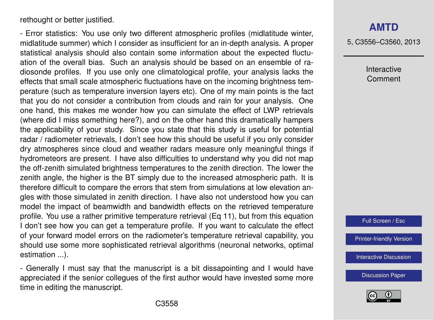rethought or better justified.

- Error statistics: You use only two different atmospheric profiles (midlatitude winter, midlatitude summer) which I consider as insufficient for an in-depth analysis. A proper statistical analysis should also contain some information about the expected fluctuation of the overall bias. Such an analysis should be based on an ensemble of radiosonde profiles. If you use only one climatological profile, your analysis lacks the effects that small scale atmospheric fluctuations have on the incoming brightness temperature (such as temperature inversion layers etc). One of my main points is the fact that you do not consider a contribution from clouds and rain for your analysis. One one hand, this makes me wonder how you can simulate the effect of LWP retrievals (where did I miss something here?), and on the other hand this dramatically hampers the applicability of your study. Since you state that this study is useful for potential radar / radiometer retrievals, I don't see how this should be useful if you only consider dry atmospheres since cloud and weather radars measure only meaningful things if hydrometeors are present. I have also difficulties to understand why you did not map the off-zenith simulated brightness temperatures to the zenith direction. The lower the zenith angle, the higher is the BT simply due to the increased atmospheric path. It is therefore difficult to compare the errors that stem from simulations at low elevation angles with those simulated in zenith direction. I have also not understood how you can model the impact of beamwidth and bandwidth effects on the retrieved temperature profile. You use a rather primitive temperature retrieval (Eq 11), but from this equation I don't see how you can get a temperature profile. If you want to calculate the effect of your forward model errors on the radiometer's temperature retrieval capability, you should use some more sophisticated retrieval algorithms (neuronal networks, optimal estimation ...).

- Generally I must say that the manuscript is a bit dissapointing and I would have appreciated if the senior collegues of the first author would have invested some more time in editing the manuscript.

## **[AMTD](http://www.atmos-meas-tech-discuss.net)**

5, C3556–C3560, 2013

Interactive Comment



[Printer-friendly Version](http://www.atmos-meas-tech-discuss.net/5/C3556/2013/amtd-5-C3556-2013-print.pdf)

[Interactive Discussion](http://www.atmos-meas-tech-discuss.net/5/8085/2012/amtd-5-8085-2012-discussion.html)

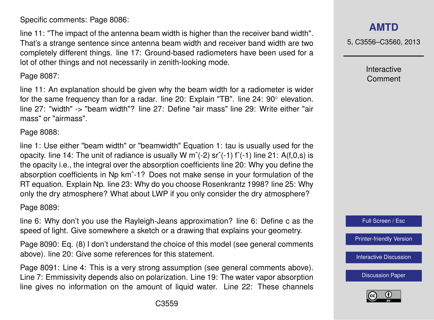Specific comments: Page 8086:

line 11: "The impact of the antenna beam width is higher than the receiver band width". That's a strange sentence since antenna beam width and receiver band width are two completely different things. line 17: Ground-based radiometers have been used for a lot of other things and not necessarily in zenith-looking mode.

#### Page 8087:

line 11: An explanation should be given why the beam width for a radiometer is wider for the same frequency than for a radar. line 20: Explain "TB". line 24: 90◦ elevation. line 27: "width" -> "beam width"? line 27: Define "air mass" line 29: Write either "air mass" or "airmass".

Page 8088:

line 1: Use either "beam width" or "beamwidth" Equation 1: tau is usually used for the opacity. line 14: The unit of radiance is usually W m^(-2)  $\text{sr}^{\text{}}(1)$  f^(-1) line 21: A(f,0,s) is the opacity i.e., the integral over the absorption coefficients line 20: Why you define the absorption coefficients in Np kmˆ-1? Does not make sense in your formulation of the RT equation. Explain Np. line 23: Why do you choose Rosenkrantz 1998? line 25: Why only the dry atmosphere? What about LWP if you only consider the dry atmosphere?

### Page 8089:

line 6: Why don't you use the Rayleigh-Jeans approximation? line 6: Define c as the speed of light. Give somewhere a sketch or a drawing that explains your geometry.

Page 8090: Eq. (8) I don't understand the choice of this model (see general comments above). line 20: Give some references for this statement.

Page 8091: Line 4: This is a very strong assumption (see general comments above). Line 7: Emmissivity depends also on polarization. Line 19: The water vapor absorption line gives no information on the amount of liquid water. Line 22: These channels 5, C3556–C3560, 2013

Interactive Comment

Full Screen / Esc

[Printer-friendly Version](http://www.atmos-meas-tech-discuss.net/5/C3556/2013/amtd-5-C3556-2013-print.pdf)

[Interactive Discussion](http://www.atmos-meas-tech-discuss.net/5/8085/2012/amtd-5-8085-2012-discussion.html)